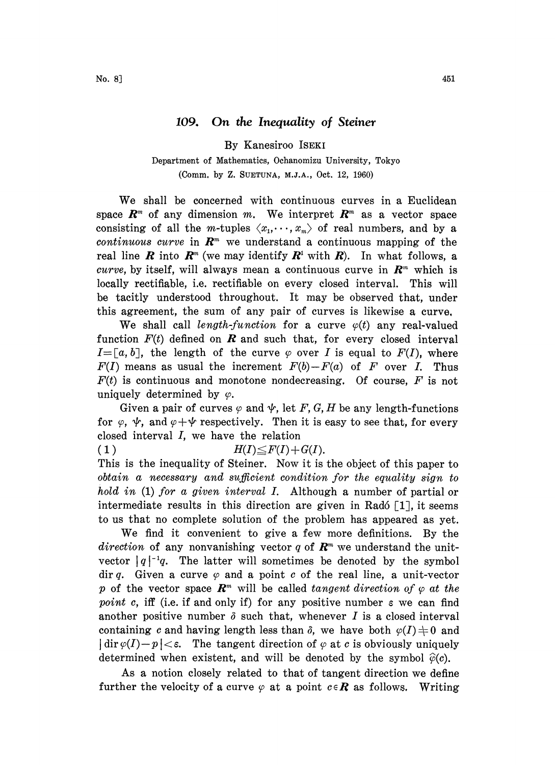## 109. On the Inequality of Steiner

By Kanesiroo ISEKI

Department of Mathematics, 0chanomizu University, Tokyo (Comm, by Z. SUETUNA, M.J.A., Oct. 12, 1960)

We shall be concerned with continuous curves in <sup>a</sup> Euclidean space  $\mathbb{R}^m$  of any dimension m. We interpret  $\mathbb{R}^m$  as a vector space consisting of all the *m*-tuples  $\langle x_1, \dots, x_m \rangle$  of real numbers, and by a continuous curve in  $\mathbb{R}^m$  we understand a continuous mapping of the real line **R** into  $\mathbf{R}^m$  (we may identify  $\mathbf{R}^1$  with  $\mathbf{R}$ ). In what follows, a curve, by itself, will always mean a continuous curve in  $\mathbb{R}^m$  which is locally rectifiable, i.e. rectifiable on every closed interval. This will be tacitly understood throughout. It may be observed that, under this agreement, the sum of any pair of curves is likewise a curve,

We shall call length-function for a curve  $\varphi(t)$  any real-valued function  $F(t)$  defined on **R** and such that, for every closed interval  $I = [a, b]$ , the length of the curve  $\varphi$  over I is equal to  $F(I)$ , where  $F(I)$  means as usual the increment  $F(b)-F(a)$  of F over I. Thus  $F(t)$  is continuous and monotone nondecreasing. Of course, F is not uniquely determined by  $\varphi$ .

Given a pair of curves  $\varphi$  and  $\psi$ , let F, G, H be any length-functions for  $\varphi$ ,  $\psi$ , and  $\varphi + \psi$  respectively. Then it is easy to see that, for every closed interval I, we have the relation or  $\varphi$ ,  $\varphi$ , and  $\varphi + \varphi$  respectively. Then it is dosed interval *I*, we have the relation<br>1)  $H(I) \leq F(I) + G(I)$ .

This is the inequality of Steiner. Now it is the object of this paper to obtain a necessary and sufficient condition for the equality sign to hold in (1) for a given interval I. Although a number of partial or intermediate results in this direction are given in Radó  $\lceil 1 \rceil$ , it seems to us that no complete solution of the problem has appeared as yet.

We find it convenient to give <sup>a</sup> few more definitions. By the direction of any nonvanishing vector q of  $\mathbb{R}^m$  we understand the unitvector  $|q|^{-1}q$ . The latter will sometimes be denoted by the symbol dir q. Given a curve  $\varphi$  and a point c of the real line, a unit-vector p of the vector space  $\mathbb{R}^m$  will be called tangent direction of  $\varphi$  at the point c, iff (i.e. if and only if) for any positive number  $\varepsilon$  we can find another positive number  $\delta$  such that, whenever I is a closed interval containing c and having length less than  $\delta$ , we have both  $\varphi(I) \neq 0$  and  $\left|\dim \varphi(I)-p\right|<\varepsilon$ . The tangent direction of  $\varphi$  at c is obviously uniquely determined when existent, and will be denoted by the symbol  $\hat{\varphi}(c)$ .

As a notion closely related to that of tangent direction we define further the velocity of a curve  $\varphi$  at a point  $c \in \mathbb{R}$  as follows. Writing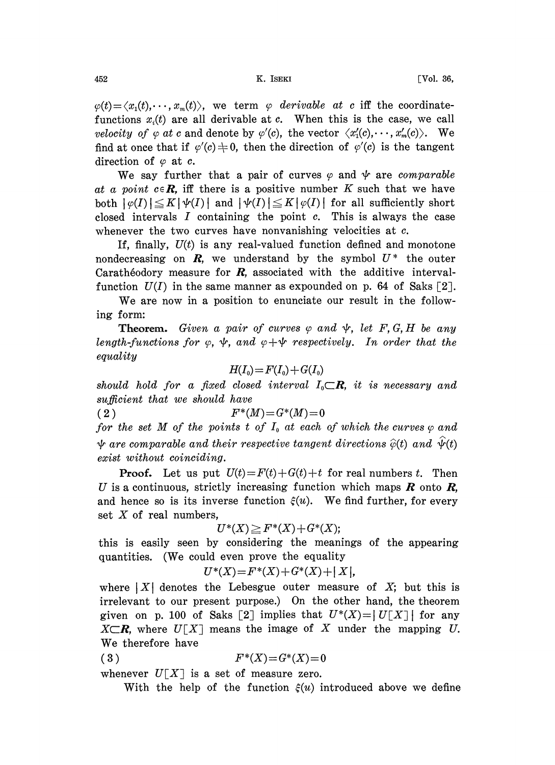$\varphi(t) = \langle x_1(t), \dots, x_m(t) \rangle$ , we term  $\varphi$  derivable at c iff the coordinatefunctions  $x_i(t)$  are all derivable at c. When this is the case, we call velocity of  $\varphi$  at c and denote by  $\varphi'(c)$ , the vector  $\langle x_1'(c),\dots, x_m'(c)\rangle$ . We find at once that if  $\varphi'(c) \neq 0$ , then the direction of  $\varphi'(c)$  is the tangent direction of  $\varphi$  at c.

We say further that a pair of curves  $\varphi$  and  $\psi$  are comparable at a point  $c \in \mathbb{R}$ , iff there is a positive number K such that we have both  $|\varphi(I)| \leq K |\psi(I)|$  and  $|\psi(I)| \leq K |\varphi(I)|$  for all sufficiently short closed intervals  $I$  containing the point  $c$ . This is always the case whenever the two curves have nonvanishing velocities at c.

If, finally,  $U(t)$  is any real-valued function defined and monotone nondecreasing on  $\mathbf{R}$ , we understand by the symbol  $U^*$  the outer Carathéodory measure for  $R$ , associated with the additive intervalfunction  $U(I)$  in the same manner as expounded on p. 64 of Saks [2].

We are now in <sup>a</sup> position to enunciate our result in the following form:

**Theorem.** Given a pair of curves  $\varphi$  and  $\psi$ , let F, G, H be any length-functions for  $\varphi$ ,  $\psi$ , and  $\varphi + \psi$  respectively. In order that the equality

$$
H(I_0) = F(I_0) + G(I_0)
$$

 $+G(I_0)$ <br>rval  $I_0$ should hold for a fixed closed interval  $I_0{\subset}\mathcal{R}$ , it is necessary and sufficient that we should have

(2)  $F^*(M)=G^*(M)=0$ 

for the set M of the points t of  $I_0$  at each of which the curves  $\varphi$  and  $\psi$  are comparable and their respective tangent directions  $\hat{\varphi}(t)$  and  $\hat{\psi}(t)$ exist without coinciding.

**Proof.** Let us put  $U(t) = F(t) + G(t) + t$  for real numbers t. Then U is a continuous, strictly increasing function which maps  $\bm{R}$  onto  $\bm{R}$ , and hence so is its inverse function  $\xi(u)$ . We find further, for every set  $X$  of real numbers, \_

$$
U^*(X) \geq F^*(X) + G^*(X);
$$

this is easily seen by considering the meanings of the appearing quantities. (We could even prove the equality

$$
U^*(X) = F^*(X) + G^*(X) + |X|,
$$

where  $|X|$  denotes the Lebesgue outer measure of X; but this is irrelevant to our present purpose.) On the other hand, the theorem given on p. 100 of Saks [2] implies that  $U^*(X) = |U|X|$  for any  $X\subset\mathbf{R}$ , where  $U[X]$  means the image of X under the mapping U. We therefore have

$$
(3) \tF^*(X) = G^*(X) = 0
$$

whenever  $U[X]$  is a set of measure zero.

With the help of the function  $\xi(u)$  introduced above we define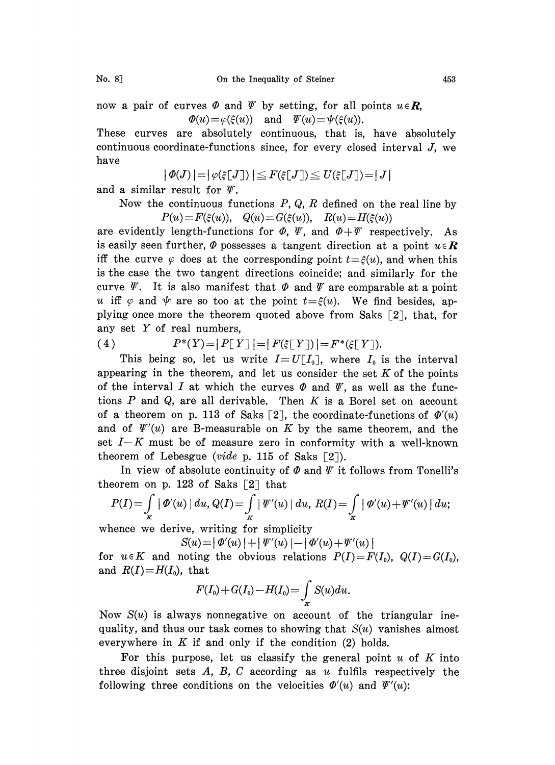now a pair of curves  $\Phi$  and  $\Psi$  by setting, for all points  $u \in \mathbb{R}$ ,  $\Phi(u) = \varphi(\xi(u))$  and  $\Psi(u) = \psi(\xi(u)).$ 

These curves are absolutely continuous, that is, have absolutely continuous coordinate-functions since, for every closed interval J, we have

$$
|\varPhi(J)| = |\varphi(\xi[J])| \leq F(\xi[J]) \leq U(\xi[J]) = |J|
$$

and a similar result for  $\psi$ .

Now the continuous functions  $P$ ,  $Q$ ,  $R$  defined on the real line by  $P(u) = F(\xi(u)), \quad Q(u) = G(\xi(u)), \quad R(u) = H(\xi(u))$ 

are evidently length-functions for  $\Phi$ ,  $\Psi$ , and  $\Phi + \Psi$  respectively. As is easily seen further,  $\Phi$  possesses a tangent direction at a point  $u \in \mathbb{R}$ iff the curve  $\varphi$  does at the corresponding point  $t=\xi(u)$ , and when this is the case the two tangent directions coincide; and similarly for the curve  $\mathscr Y$ . It is also manifest that  $\Phi$  and  $\mathscr Y$  are comparable at a point u iff  $\varphi$  and  $\psi$  are so too at the point  $t=\xi(u)$ . We find besides, applying once more the theorem quoted above from Saks  $[2]$ , that, for any set Y of real numbers,

(4)  $P^*(Y) = |P[Y]| = |F(\xi[Y])| = F^*(\xi[Y]).$ 

This being so, let us write  $I=U[I_0]$ , where  $I_0$  is the interval appearing in the theorem, and let us consider the set  $K$  of the points of the interval I at which the curves  $\Phi$  and  $\Psi$ , as well as the functions  $P$  and  $Q$ , are all derivable. Then  $K$  is a Borel set on account of a theorem on p. 113 of Saks [2], the coordinate-functions of  $\Phi'(u)$ and of  $\mathcal{V}'(u)$  are B-measurable on K by the same theorem, and the set  $I-K$  must be of measure zero in conformity with a well-known theorem of Lebesgue (vide p. 115 of Saks  $\lceil 2 \rceil$ ).

In view of absolute continuity of  $\Phi$  and  $\Psi$  it follows from Tonelli's theorem on p. 123 of Saks [2] that

$$
P(I) = \int_{K} |\varPhi'(u)| du, Q(I) = \int_{K} |\varPsi'(u)| du, R(I) = \int_{K} |\varPhi'(u) + \varPsi'(u)| du;
$$

whence we derive, writing for simplicity

$$
S(u) = | \Phi'(u) | + | \Psi'(u) | - | \Phi'(u) + \Psi'(u) |
$$

for  $u \in K$  and noting the obvious relations  $P(I) = F(I_0)$ ,  $Q(I) = G(I_0)$ , and  $R(I)=H(I_0)$ , that

$$
F(I_0) + G(I_0) - H(I_0) = \int_K S(u) du.
$$

Now  $S(u)$  is always nonnegative on account of the triangular inequality, and thus our task comes to showing that  $S(u)$  vanishes almost everywhere in  $K$  if and only if the condition  $(2)$  holds.

For this purpose, let us classify the general point  $u$  of  $K$  into three disjoint sets  $A, B, C$  according as u fulfils respectively the following three conditions on the velocities  $\Phi'(u)$  and  $\Psi'(u)$ :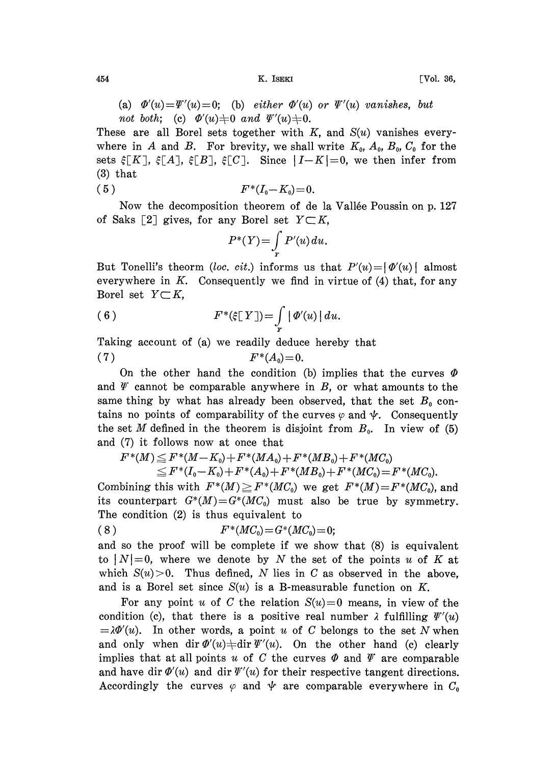454 **K.** ISEKI [Vol. 36,

(a)  $\Phi'(u)=\Psi'(u)=0$ ; (b) either  $\Phi'(u)$  or  $\Psi'(u)$  vanishes, but not both; (c)  $\Phi'(u)\neq 0$  and  $\Psi'(u)\neq 0$ .

These are all Borel sets together with  $K$ , and  $S(u)$  vanishes everywhere in A and B. For brevity, we shall write  $K_0$ ,  $A_0$ ,  $B_0$ ,  $C_0$  for the sets  $\xi[K], \xi[A], \xi[B], \xi[C]$ . Since  $|I-K|=0$ , we then infer from (3) that

$$
(5) \t\t F^*(I_0-K_0)=0.
$$

Now the decomposition theorem of de la Vallée Poussin on p. 127 of Saks [2] gives, for any Borel set  $Y \subset K$ ,

$$
P^*(Y) = \int\limits_{Y} P'(u) \, du.
$$

But Tonelli's theorm (loc. cit.) informs us that  $P'(u) = |\phi'(u)|$  almost everywhere in  $K$ . Consequently we find in virtue of  $(4)$  that, for any Borel set  $Y \subset K$ ,

(6) 
$$
F^*(\xi[Y]) = \int\limits_Y |\varPhi'(u)| du.
$$

Taking account of (a) we readily deduce hereby that

$$
(7) \t\t F^*(A_0)=0.
$$

On the other hand the condition (b) implies that the curves  $\Phi$ and  $\varPsi$  cannot be comparable anywhere in  $B$ , or what amounts to the same thing by what has already been observed, that the set  $B_0$  contains no points of comparability of the curves  $\varphi$  and  $\psi$ . Consequently the set M defined in the theorem is disjoint from  $B_0$ . In view of (5) and (7) it follows now at once that

 $F^*(M) \leq F^*(M-K_0) + F^*(M A_0) + F^*(M B_0) + F^*(M C_0)$  $\begin{aligned} &+F^*(MA_0) +F^*(MB_0) +F^*(MC_0)\ &+F^*(A_0) +F^*(MB_0) +F^*(MC_0)=\ &=M)\ge F^*(MC_0) \ \ \text{we get} \ \ F^*(M)=\ &=M\end{aligned}$ 

 $F^*(I_0 - K_0) + F^*(A_0) + F^*(MB_0) + F^*(MC_0) = F^*(MC_0).$ <br>s with  $F^*(M) \geq F^*(MC_0)$  we get  $F^*(M) = F^*(MC_0),$ <br>rt  $G^*(M) = G^*(MC_0)$  must also be true by symme Combining this with  $F^*(M) \geq F^*(MC_0)$  we get  $F^*(M)=F^*(MC_0)$ , and its counterpart  $G^*(M) = G^*(MC_0)$  must also be true by symmetry. The condition (2) is thus equivalent to

$$
(8) \t\t F^*(MC_0) = G^*(MC_0) = 0;
$$

and so the proof will be complete if we show that (8) is equivalent to  $|N|=0$ , where we denote by N the set of the points u of K at which  $S(u) > 0$ . Thus defined, N lies in C as observed in the above, and is a Borel set since  $S(u)$  is a B-measurable function on K.

For any point u of C the relation  $S(u)=0$  means, in view of the condition (c), that there is a positive real number  $\lambda$  fulfilling  $\Psi'(u)$  $=\lambda \Phi'(u)$ . In other words, a point u of C belongs to the set N when and only when dir  $\Phi'(u) \neq \text{dir } \Psi'(u)$ . On the other hand (c) clearly implies that at all points u of C the curves  $\Phi$  and  $\Psi$  are comparable and have dir  $\Phi'(u)$  and dir  $\Psi'(u)$  for their respective tangent directions. Accordingly the curves  $\varphi$  and  $\psi$  are comparable everywhere in  $C_0$